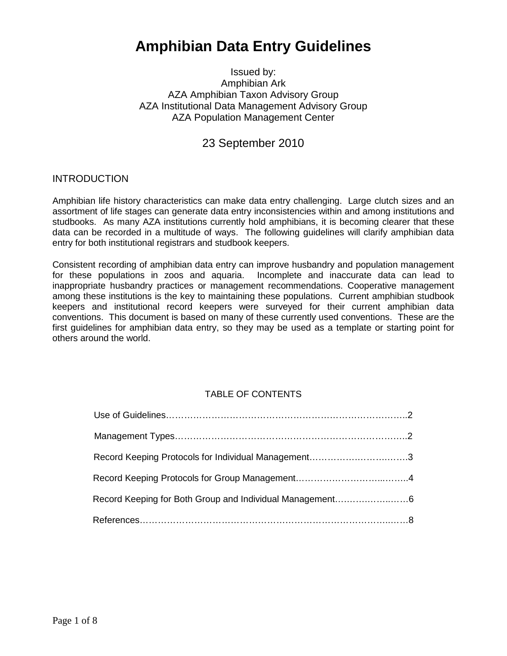# **Amphibian Data Entry Guidelines**

Issued by: Amphibian Ark AZA Amphibian Taxon Advisory Group AZA Institutional Data Management Advisory Group AZA Population Management Center

23 September 2010

## **INTRODUCTION**

Amphibian life history characteristics can make data entry challenging. Large clutch sizes and an assortment of life stages can generate data entry inconsistencies within and among institutions and studbooks. As many AZA institutions currently hold amphibians, it is becoming clearer that these data can be recorded in a multitude of ways. The following guidelines will clarify amphibian data entry for both institutional registrars and studbook keepers.

Consistent recording of amphibian data entry can improve husbandry and population management for these populations in zoos and aquaria. Incomplete and inaccurate data can lead to inappropriate husbandry practices or management recommendations. Cooperative management among these institutions is the key to maintaining these populations. Current amphibian studbook keepers and institutional record keepers were surveyed for their current amphibian data conventions. This document is based on many of these currently used conventions. These are the first guidelines for amphibian data entry, so they may be used as a template or starting point for others around the world.

# TABLE OF CONTENTS

| Record Keeping Protocols for Individual Management3      |  |
|----------------------------------------------------------|--|
|                                                          |  |
| Record Keeping for Both Group and Individual Management6 |  |
|                                                          |  |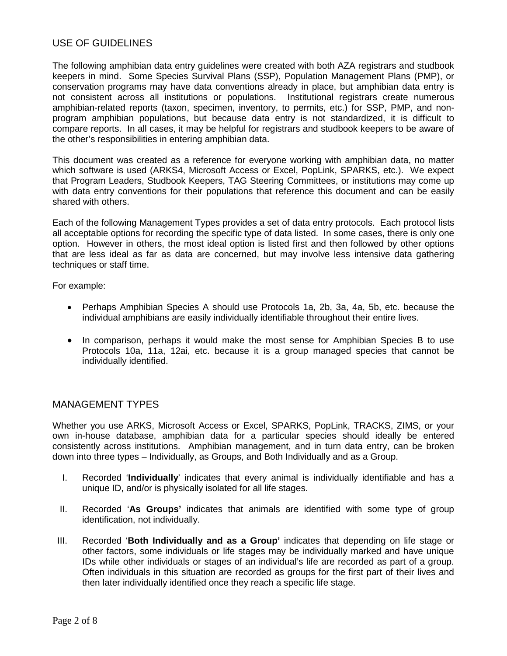# USE OF GUIDELINES

The following amphibian data entry guidelines were created with both AZA registrars and studbook keepers in mind. Some Species Survival Plans (SSP), Population Management Plans (PMP), or conservation programs may have data conventions already in place, but amphibian data entry is not consistent across all institutions or populations. Institutional registrars create numerous amphibian-related reports (taxon, specimen, inventory, to permits, etc.) for SSP, PMP, and nonprogram amphibian populations, but because data entry is not standardized, it is difficult to compare reports. In all cases, it may be helpful for registrars and studbook keepers to be aware of the other's responsibilities in entering amphibian data.

This document was created as a reference for everyone working with amphibian data, no matter which software is used (ARKS4, Microsoft Access or Excel, PopLink, SPARKS, etc.). We expect that Program Leaders, Studbook Keepers, TAG Steering Committees, or institutions may come up with data entry conventions for their populations that reference this document and can be easily shared with others.

Each of the following Management Types provides a set of data entry protocols. Each protocol lists all acceptable options for recording the specific type of data listed. In some cases, there is only one option. However in others, the most ideal option is listed first and then followed by other options that are less ideal as far as data are concerned, but may involve less intensive data gathering techniques or staff time.

For example:

- Perhaps Amphibian Species A should use Protocols 1a, 2b, 3a, 4a, 5b, etc. because the individual amphibians are easily individually identifiable throughout their entire lives.
- In comparison, perhaps it would make the most sense for Amphibian Species B to use Protocols 10a, 11a, 12ai, etc. because it is a group managed species that cannot be individually identified.

# MANAGEMENT TYPES

Whether you use ARKS, Microsoft Access or Excel, SPARKS, PopLink, TRACKS, ZIMS, or your own in-house database, amphibian data for a particular species should ideally be entered consistently across institutions. Amphibian management, and in turn data entry, can be broken down into three types – Individually, as Groups, and Both Individually and as a Group.

- I. Recorded '**Individually**' indicates that every animal is individually identifiable and has a unique ID, and/or is physically isolated for all life stages.
- II. Recorded '**As Groups'** indicates that animals are identified with some type of group identification, not individually.
- III. Recorded '**Both Individually and as a Group'** indicates that depending on life stage or other factors, some individuals or life stages may be individually marked and have unique IDs while other individuals or stages of an individual's life are recorded as part of a group. Often individuals in this situation are recorded as groups for the first part of their lives and then later individually identified once they reach a specific life stage.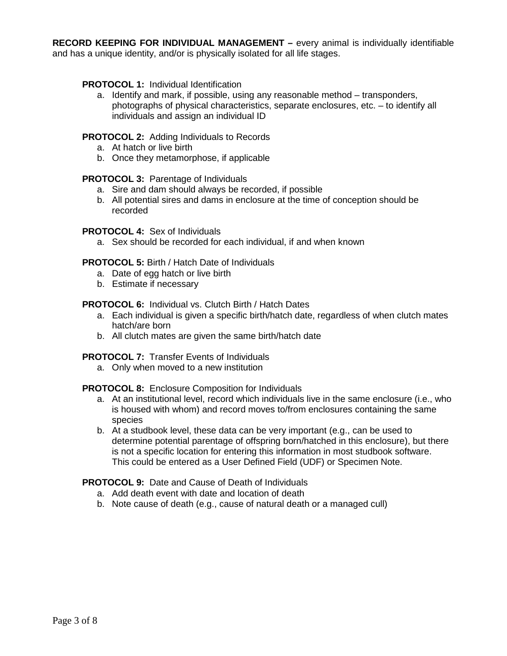**RECORD KEEPING FOR INDIVIDUAL MANAGEMENT –** every animal is individually identifiable and has a unique identity, and/or is physically isolated for all life stages.

#### **PROTOCOL 1: Individual Identification**

a. Identify and mark, if possible, using any reasonable method – transponders, photographs of physical characteristics, separate enclosures, etc. – to identify all individuals and assign an individual ID

## **PROTOCOL 2:** Adding Individuals to Records

- a. At hatch or live birth
- b. Once they metamorphose, if applicable

#### **PROTOCOL 3:** Parentage of Individuals

- a. Sire and dam should always be recorded, if possible
- b. All potential sires and dams in enclosure at the time of conception should be recorded

#### **PROTOCOL 4:** Sex of Individuals

a. Sex should be recorded for each individual, if and when known

**PROTOCOL 5:** Birth / Hatch Date of Individuals

- a. Date of egg hatch or live birth
- b. Estimate if necessary

## **PROTOCOL 6:** Individual vs. Clutch Birth / Hatch Dates

- a. Each individual is given a specific birth/hatch date, regardless of when clutch mates hatch/are born
- b. All clutch mates are given the same birth/hatch date

## **PROTOCOL 7:** Transfer Events of Individuals

a. Only when moved to a new institution

#### **PROTOCOL 8:** Enclosure Composition for Individuals

- a. At an institutional level, record which individuals live in the same enclosure (i.e., who is housed with whom) and record moves to/from enclosures containing the same species
- b. At a studbook level, these data can be very important (e.g., can be used to determine potential parentage of offspring born/hatched in this enclosure), but there is not a specific location for entering this information in most studbook software. This could be entered as a User Defined Field (UDF) or Specimen Note.

## **PROTOCOL 9:** Date and Cause of Death of Individuals

- a. Add death event with date and location of death
- b. Note cause of death (e.g., cause of natural death or a managed cull)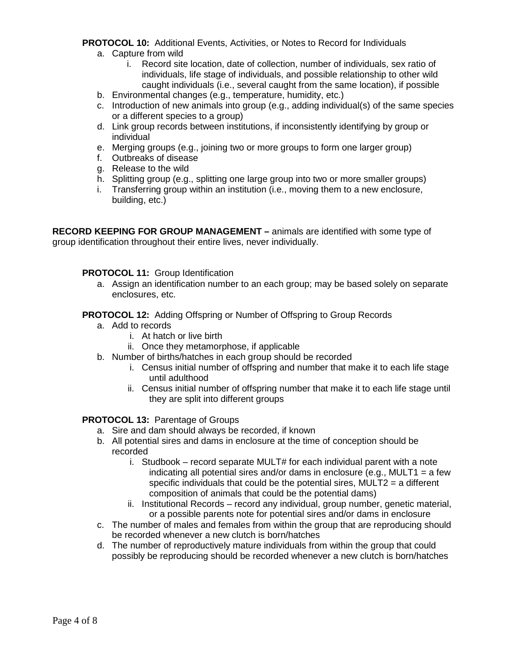# **PROTOCOL 10:** Additional Events, Activities, or Notes to Record for Individuals

- a. Capture from wild
	- i. Record site location, date of collection, number of individuals, sex ratio of individuals, life stage of individuals, and possible relationship to other wild caught individuals (i.e., several caught from the same location), if possible
- b. Environmental changes (e.g., temperature, humidity, etc.)
- c. Introduction of new animals into group (e.g., adding individual(s) of the same species or a different species to a group)
- d. Link group records between institutions, if inconsistently identifying by group or individual
- e. Merging groups (e.g., joining two or more groups to form one larger group)
- f. Outbreaks of disease
- g. Release to the wild
- h. Splitting group (e.g., splitting one large group into two or more smaller groups)
- i. Transferring group within an institution (i.e., moving them to a new enclosure, building, etc.)

**RECORD KEEPING FOR GROUP MANAGEMENT –** animals are identified with some type of group identification throughout their entire lives, never individually.

## **PROTOCOL 11:** Group Identification

a. Assign an identification number to an each group; may be based solely on separate enclosures, etc.

#### **PROTOCOL 12:** Adding Offspring or Number of Offspring to Group Records

- a. Add to records
	- i. At hatch or live birth
	- ii. Once they metamorphose, if applicable
- b. Number of births/hatches in each group should be recorded
	- i. Census initial number of offspring and number that make it to each life stage until adulthood
	- ii. Census initial number of offspring number that make it to each life stage until they are split into different groups

#### **PROTOCOL 13:** Parentage of Groups

- a. Sire and dam should always be recorded, if known
- b. All potential sires and dams in enclosure at the time of conception should be recorded
	- i. Studbook record separate MULT# for each individual parent with a note indicating all potential sires and/or dams in enclosure (e.g., MULT1 = a few specific individuals that could be the potential sires, MULT2 = a different composition of animals that could be the potential dams)
	- ii. Institutional Records record any individual, group number, genetic material, or a possible parents note for potential sires and/or dams in enclosure
- c. The number of males and females from within the group that are reproducing should be recorded whenever a new clutch is born/hatches
- d. The number of reproductively mature individuals from within the group that could possibly be reproducing should be recorded whenever a new clutch is born/hatches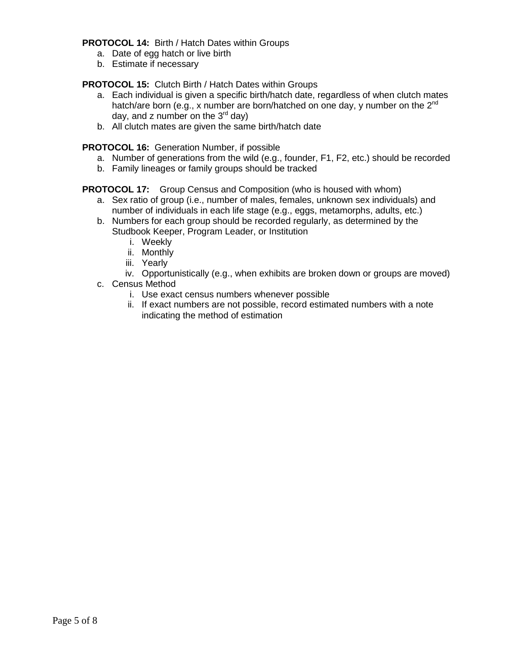**PROTOCOL 14:** Birth / Hatch Dates within Groups

- a. Date of egg hatch or live birth
- b. Estimate if necessary

**PROTOCOL 15:** Clutch Birth / Hatch Dates within Groups

- a. Each individual is given a specific birth/hatch date, regardless of when clutch mates hatch/are born (e.g., x number are born/hatched on one day, y number on the 2<sup>nd</sup> day, and z number on the  $3<sup>rd</sup>$  day)
- b. All clutch mates are given the same birth/hatch date

**PROTOCOL 16:** Generation Number, if possible

- a. Number of generations from the wild (e.g., founder, F1, F2, etc.) should be recorded
- b. Family lineages or family groups should be tracked

**PROTOCOL 17:** Group Census and Composition (who is housed with whom)

- a. Sex ratio of group (i.e., number of males, females, unknown sex individuals) and number of individuals in each life stage (e.g., eggs, metamorphs, adults, etc.)
- b. Numbers for each group should be recorded regularly, as determined by the Studbook Keeper, Program Leader, or Institution
	- i. Weekly
	- ii. Monthly
	- iii. Yearly
	- iv. Opportunistically (e.g., when exhibits are broken down or groups are moved)
- c. Census Method
	- i. Use exact census numbers whenever possible
	- ii. If exact numbers are not possible, record estimated numbers with a note indicating the method of estimation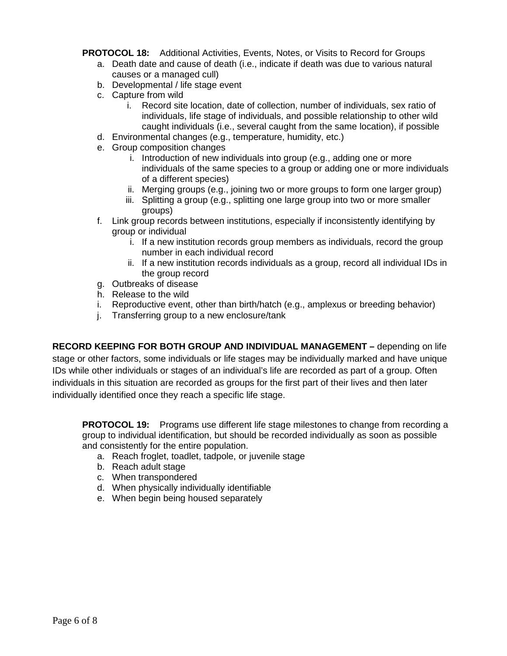**PROTOCOL 18:** Additional Activities, Events, Notes, or Visits to Record for Groups

- a. Death date and cause of death (i.e., indicate if death was due to various natural causes or a managed cull)
- b. Developmental / life stage event
- c. Capture from wild
	- i. Record site location, date of collection, number of individuals, sex ratio of individuals, life stage of individuals, and possible relationship to other wild caught individuals (i.e., several caught from the same location), if possible
- d. Environmental changes (e.g., temperature, humidity, etc.)
- e. Group composition changes
	- i. Introduction of new individuals into group (e.g., adding one or more individuals of the same species to a group or adding one or more individuals of a different species)
	- ii. Merging groups (e.g., joining two or more groups to form one larger group)
	- iii. Splitting a group (e.g., splitting one large group into two or more smaller groups)
- f. Link group records between institutions, especially if inconsistently identifying by group or individual
	- i. If a new institution records group members as individuals, record the group number in each individual record
	- ii. If a new institution records individuals as a group, record all individual IDs in the group record
- g. Outbreaks of disease
- h. Release to the wild
- i. Reproductive event, other than birth/hatch (e.g., amplexus or breeding behavior)
- j. Transferring group to a new enclosure/tank

**RECORD KEEPING FOR BOTH GROUP AND INDIVIDUAL MANAGEMENT –** depending on life stage or other factors, some individuals or life stages may be individually marked and have unique IDs while other individuals or stages of an individual's life are recorded as part of a group. Often individuals in this situation are recorded as groups for the first part of their lives and then later individually identified once they reach a specific life stage.

**PROTOCOL 19:** Programs use different life stage milestones to change from recording a group to individual identification, but should be recorded individually as soon as possible and consistently for the entire population.

- a. Reach froglet, toadlet, tadpole, or juvenile stage
- b. Reach adult stage
- c. When transpondered
- d. When physically individually identifiable
- e. When begin being housed separately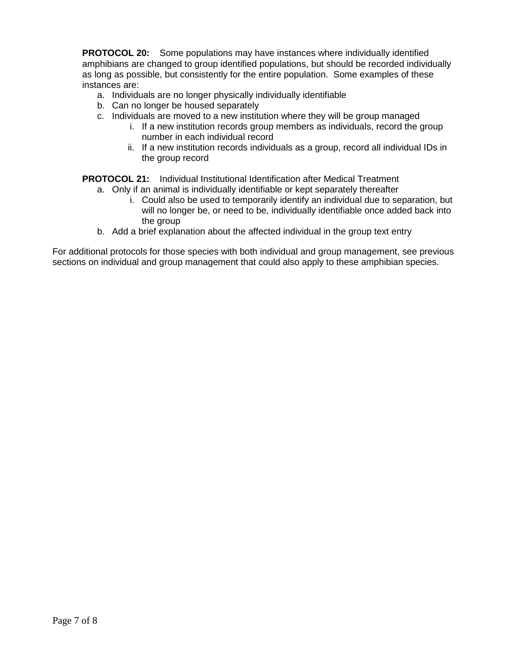**PROTOCOL 20:** Some populations may have instances where individually identified amphibians are changed to group identified populations, but should be recorded individually as long as possible, but consistently for the entire population. Some examples of these instances are:

- a. Individuals are no longer physically individually identifiable
- b. Can no longer be housed separately
- c. Individuals are moved to a new institution where they will be group managed
	- i. If a new institution records group members as individuals, record the group number in each individual record
	- ii. If a new institution records individuals as a group, record all individual IDs in the group record

**PROTOCOL 21:** Individual Institutional Identification after Medical Treatment

- a. Only if an animal is individually identifiable or kept separately thereafter
	- i. Could also be used to temporarily identify an individual due to separation, but will no longer be, or need to be, individually identifiable once added back into the group
- b. Add a brief explanation about the affected individual in the group text entry

For additional protocols for those species with both individual and group management, see previous sections on individual and group management that could also apply to these amphibian species.